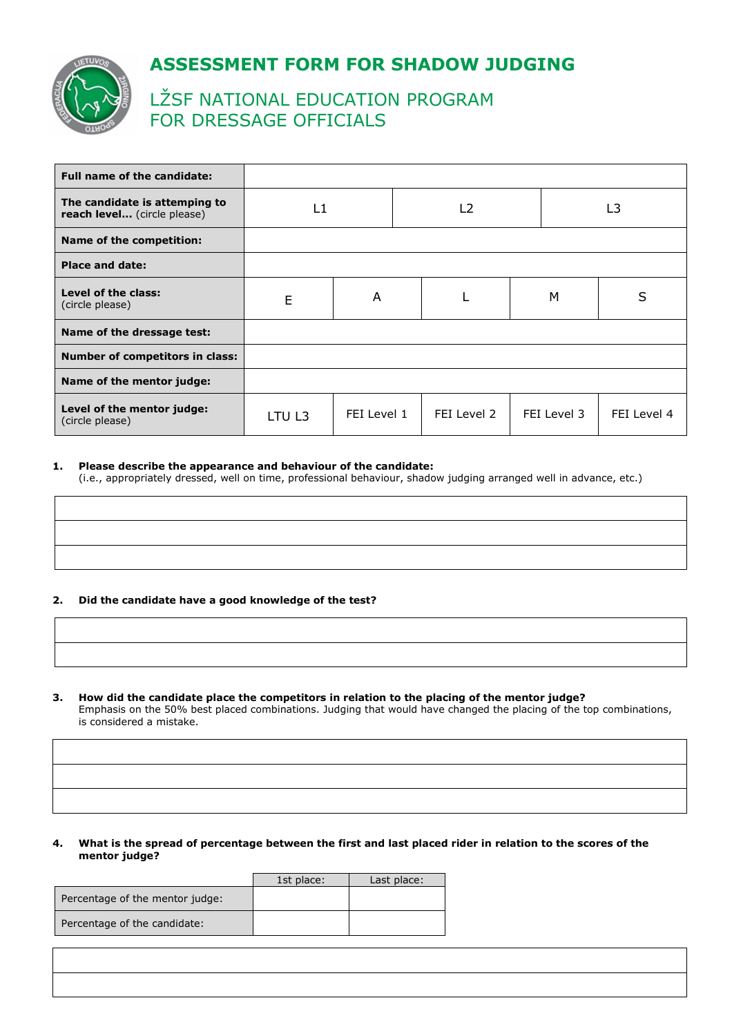

# **ASSESSMENT FORM FOR SHADOW JUDGING**

# LŽSF NATIONAL EDUCATION PROGRAM FOR DRESSAGE OFFICIALS

| Full name of the candidate:                                  |        |             |                |             |             |
|--------------------------------------------------------------|--------|-------------|----------------|-------------|-------------|
| The candidate is attemping to<br>reach level (circle please) | L1     |             | L <sub>2</sub> |             | L3          |
| Name of the competition:                                     |        |             |                |             |             |
| <b>Place and date:</b>                                       |        |             |                |             |             |
| Level of the class:<br>(circle please)                       | E      | A           |                | м           | S           |
| Name of the dressage test:                                   |        |             |                |             |             |
| <b>Number of competitors in class:</b>                       |        |             |                |             |             |
| Name of the mentor judge:                                    |        |             |                |             |             |
| Level of the mentor judge:<br>(circle please)                | LTU L3 | FEI Level 1 | FEI Level 2    | FEI Level 3 | FEI Level 4 |

## **1. Please describe the appearance and behaviour of the candidate:**

(i.e., appropriately dressed, well on time, professional behaviour, shadow judging arranged well in advance, etc.)

# **2. Did the candidate have a good knowledge of the test?**

**3. How did the candidate place the competitors in relation to the placing of the mentor judge?**  Emphasis on the 50% best placed combinations. Judging that would have changed the placing of the top combinations, is considered a mistake.

## **4. What is the spread of percentage between the first and last placed rider in relation to the scores of the mentor judge?**

|                                 | 1st place: | Last place: |
|---------------------------------|------------|-------------|
| Percentage of the mentor judge: |            |             |
| Percentage of the candidate:    |            |             |